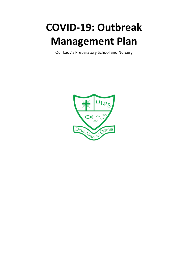# **COVID-19: Outbreak Management Plan**

Our Lady's Preparatory School and Nursery

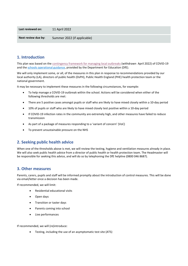| Last reviewed on:   | 11 April 2022               |
|---------------------|-----------------------------|
| Next review due by: | Summer 2022 (if applicable) |

# **1. Introduction**

This plan was based on th[e contingency framework for managing local outbreaks](https://www.gov.uk/government/publications/coronavirus-covid-19-local-restrictions-in-education-and-childcare-settings) (withdrawn April 2022) of COVID-19 and th[e schools operational guidance,](https://www.gov.uk/government/publications/actions-for-schools-during-the-coronavirus-outbreak) provided by the Department for Education (DfE).

We will only implement some, or all, of the measures in this plan in response to recommendations provided by our local authority (LA), directors of public health (DsPH), Public Health England (PHE) health protection team or the national government.

It may be necessary to implement these measures in the following circumstances, for example:

- To help manage a COVID-19 outbreak within the school. Actions will be considered when either of the following thresholds are met:
- There are 5 positive cases amongst pupils or staff who are likely to have mixed closely within a 10-day period
- 10% of pupils or staff who are likely to have mixed closely test positive within a 10-day period
- If COVID-19 infection rates in the community are extremely high, and other measures have failed to reduce transmission
- As part of a package of measures responding to a 'variant of concern' (VoC)
- To prevent unsustainable pressure on the NHS

## **2. Seeking public health advice**

When one of the thresholds above is met, we will review the testing, hygiene and ventilation measures already in place. We will also seek public health advice from a director of public health or health protection team. The Headmaster will be responsible for seeking this advice, and will do so by telephoning the DfE helpline (0800 046 8687).

## **3. Other measures**

Parents, carers, pupils and staff will be informed promptly about the introduction of control measures. This will be done via email/letter once a decision has been made.

If recommended, we will limit:

- Residential educational visits
- Open days
- Transition or taster days
- Parents coming into school
- Live performances

If recommended, we will (re)introduce:

• Testing, including the use of an asymptomatic test site (ATS)